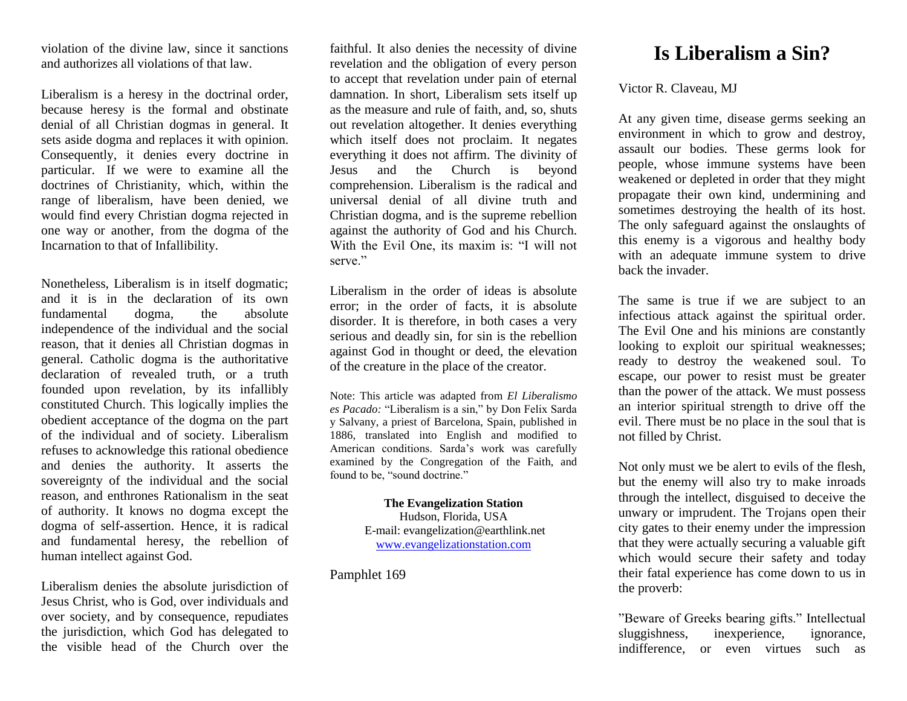violation of the divine law, since it sanctions and authorizes all violations of that law.

Liberalism is a heresy in the doctrinal order, because heresy is the formal and obstinate denial of all Christian dogmas in general. It sets aside dogma and replaces it with opinion. Consequently, it denies every doctrine in particular. If we were to examine all the doctrines of Christianity, which, within the range of liberalism, have been denied, we would find every Christian dogma rejected in one way or another, from the dogma of the Incarnation to that of Infallibility.

Nonetheless, Liberalism is in itself dogmatic; and it is in the declaration of its own fundamental dogma, the absolute independence of the individual and the social reason, that it denies all Christian dogmas in general. Catholic dogma is the authoritative declaration of revealed truth, or a truth founded upon revelation, by its infallibly constituted Church. This logically implies the obedient acceptance of the dogma on the part of the individual and of society. Liberalism refuses to acknowledge this rational obedience and denies the authority. It asserts the sovereignty of the individual and the social reason, and enthrones Rationalism in the seat of authority. It knows no dogma except the dogma of self-assertion. Hence, it is radical and fundamental heresy, the rebellion of human intellect against God.

Liberalism denies the absolute jurisdiction of Jesus Christ, who is God, over individuals and over society, and by consequence, repudiates the jurisdiction, which God has delegated to the visible head of the Church over the faithful. It also denies the necessity of divine revelation and the obligation of every person to accept that revelation under pain of eternal damnation. In short, Liberalism sets itself up as the measure and rule of faith, and, so, shuts out revelation altogether. It denies everything which itself does not proclaim. It negates everything it does not affirm. The divinity of Jesus and the Church is beyond comprehension. Liberalism is the radical and universal denial of all divine truth and Christian dogma, and is the supreme rebellion against the authority of God and his Church. With the Evil One, its maxim is: "I will not serve."

Liberalism in the order of ideas is absolute error; in the order of facts, it is absolute disorder. It is therefore, in both cases a very serious and deadly sin, for sin is the rebellion against God in thought or deed, the elevation of the creature in the place of the creator.

Note: This article was adapted from *El Liberalismo es Pacado:* "Liberalism is a sin," by Don Felix Sarda y Salvany, a priest of Barcelona, Spain, published in 1886, translated into English and modified to American conditions. Sarda's work was carefully examined by the Congregation of the Faith, and found to be, "sound doctrine."

> **The Evangelization Station** Hudson, Florida, USA E-mail: evangelization@earthlink.net [www.evangelizationstation.com](http://www.pjpiisoe.org/)

Pamphlet 169

## **Is Liberalism a Sin?**

## Victor R. Claveau, MJ

At any given time, disease germs seeking an environment in which to grow and destroy, assault our bodies. These germs look for people, whose immune systems have been weakened or depleted in order that they might propagate their own kind, undermining and sometimes destroying the health of its host. The only safeguard against the onslaughts of this enemy is a vigorous and healthy body with an adequate immune system to drive back the invader.

The same is true if we are subject to an infectious attack against the spiritual order. The Evil One and his minions are constantly looking to exploit our spiritual weaknesses; ready to destroy the weakened soul. To escape, our power to resist must be greater than the power of the attack. We must possess an interior spiritual strength to drive off the evil. There must be no place in the soul that is not filled by Christ.

Not only must we be alert to evils of the flesh, but the enemy will also try to make inroads through the intellect, disguised to deceive the unwary or imprudent. The Trojans open their city gates to their enemy under the impression that they were actually securing a valuable gift which would secure their safety and today their fatal experience has come down to us in the proverb:

"Beware of Greeks bearing gifts." Intellectual sluggishness, inexperience, ignorance, indifference, or even virtues such as